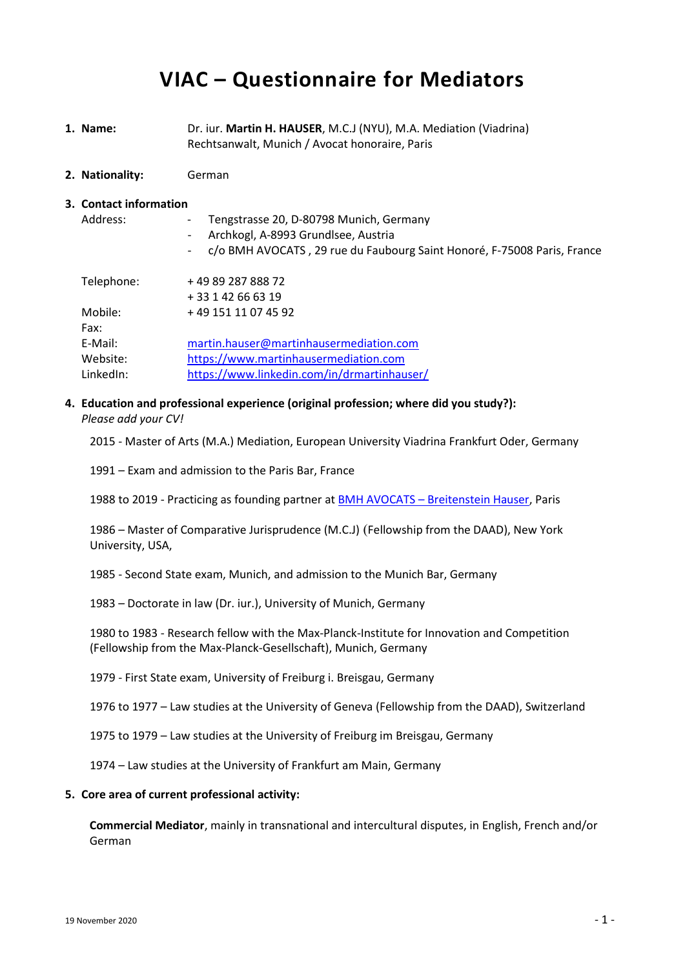# **VIAC – Questionnaire for Mediators**

- **1. Name:** Dr. iur. **Martin H. HAUSER**, M.C.J (NYU), M.A. Mediation (Viadrina) Rechtsanwalt, Munich / Avocat honoraire, Paris
- **2. Nationality:** German

#### **3. Contact information**

| Address:   | Tengstrasse 20, D-80798 Munich, Germany<br>$\overline{\phantom{a}}$<br>Archkogl, A-8993 Grundlsee, Austria<br>$\overline{\phantom{a}}$ |
|------------|----------------------------------------------------------------------------------------------------------------------------------------|
|            | c/o BMH AVOCATS, 29 rue du Faubourg Saint Honoré, F-75008 Paris, France<br>$\overline{\phantom{a}}$                                    |
| Telephone: | +49 89 287 888 72                                                                                                                      |
|            | + 33 1 42 66 63 19                                                                                                                     |
| Mobile:    | +49 151 11 07 45 92                                                                                                                    |
| Fax:       |                                                                                                                                        |
| E-Mail:    | martin.hauser@martinhausermediation.com                                                                                                |
| Website:   | https://www.martinhausermediation.com                                                                                                  |
| LinkedIn:  | https://www.linkedin.com/in/drmartinhauser/                                                                                            |

**4. Education and professional experience (original profession; where did you study?):**

*Please add your CV!*

2015 - Master of Arts (M.A.) Mediation, European University Viadrina Frankfurt Oder, Germany

1991 – Exam and admission to the Paris Bar, France

1988 to 2019 - Practicing as founding partner at BMH AVOCATS – [Breitenstein Hauser,](https://bmhavocats.com/en/paris-business-law-firm-bmhavocats/) Paris

1986 – Master of Comparative Jurisprudence (M.C.J) (Fellowship from the DAAD), New York University, USA,

1985 - Second State exam, Munich, and admission to the Munich Bar, Germany

1983 – Doctorate in law (Dr. iur.), University of Munich, Germany

1980 to 1983 - Research fellow with the Max-Planck-Institute for Innovation and Competition (Fellowship from the Max-Planck-Gesellschaft), Munich, Germany

1979 - First State exam, University of Freiburg i. Breisgau, Germany

1976 to 1977 – Law studies at the University of Geneva (Fellowship from the DAAD), Switzerland

1975 to 1979 – Law studies at the University of Freiburg im Breisgau, Germany

1974 – Law studies at the University of Frankfurt am Main, Germany

### **5. Core area of current professional activity:**

**Commercial Mediator**, mainly in transnational and intercultural disputes, in English, French and/or German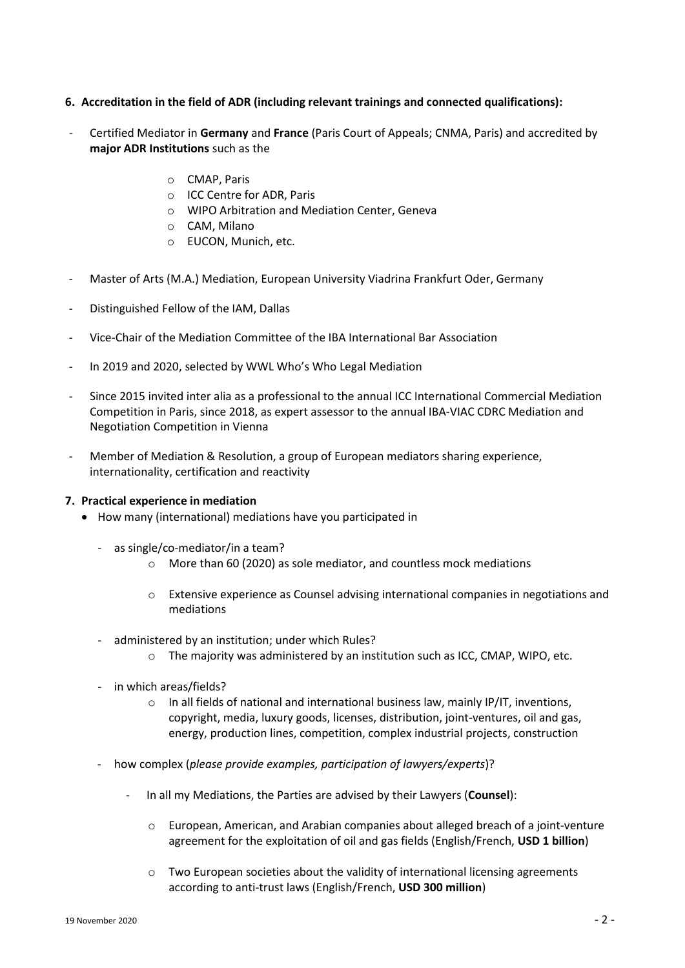# **6. Accreditation in the field of ADR (including relevant trainings and connected qualifications):**

- Certified Mediator in **Germany** and **France** (Paris Court of Appeals; CNMA, Paris) and accredited by **major ADR Institutions** such as the
	- o CMAP, Paris
	- o ICC Centre for ADR, Paris
	- o WIPO Arbitration and Mediation Center, Geneva
	- o CAM, Milano
	- o EUCON, Munich, etc.
- Master of Arts (M.A.) Mediation, European University Viadrina Frankfurt Oder, Germany
- Distinguished Fellow of the IAM, Dallas
- Vice-Chair of the Mediation Committee of the IBA International Bar Association
- In 2019 and 2020, selected by WWL Who's Who Legal Mediation
- Since 2015 invited inter alia as a professional to the annual ICC International Commercial Mediation Competition in Paris, since 2018, as expert assessor to the annual IBA-VIAC CDRC Mediation and Negotiation Competition in Vienna
- Member of Mediation & Resolution, a group of European mediators sharing experience, internationality, certification and reactivity

## **7. Practical experience in mediation**

- How many (international) mediations have you participated in
	- as single/co-mediator/in a team?
		- o More than 60 (2020) as sole mediator, and countless mock mediations
		- o Extensive experience as Counsel advising international companies in negotiations and mediations
	- administered by an institution; under which Rules?
		- o The majority was administered by an institution such as ICC, CMAP, WIPO, etc.
	- in which areas/fields?
		- $\circ$  In all fields of national and international business law, mainly IP/IT, inventions, copyright, media, luxury goods, licenses, distribution, joint-ventures, oil and gas, energy, production lines, competition, complex industrial projects, construction
	- how complex (*please provide examples, participation of lawyers/experts*)?
		- In all my Mediations, the Parties are advised by their Lawyers (**Counsel**):
			- $\circ$  European, American, and Arabian companies about alleged breach of a joint-venture agreement for the exploitation of oil and gas fields (English/French, **USD 1 billion**)
			- $\circ$  Two European societies about the validity of international licensing agreements according to anti-trust laws (English/French, **USD 300 million**)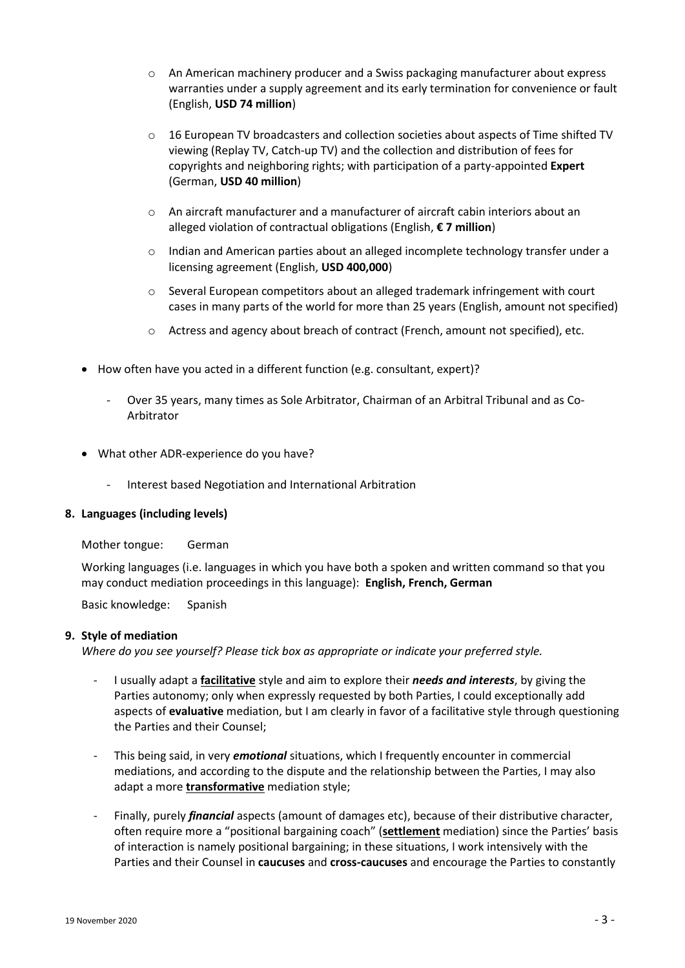- $\circ$  An American machinery producer and a Swiss packaging manufacturer about express warranties under a supply agreement and its early termination for convenience or fault (English, **USD 74 million**)
- $\circ$  16 European TV broadcasters and collection societies about aspects of Time shifted TV viewing (Replay TV, Catch-up TV) and the collection and distribution of fees for copyrights and neighboring rights; with participation of a party-appointed **Expert** (German, **USD 40 million**)
- $\circ$  An aircraft manufacturer and a manufacturer of aircraft cabin interiors about an alleged violation of contractual obligations (English, **€ 7 million**)
- $\circ$  Indian and American parties about an alleged incomplete technology transfer under a licensing agreement (English, **USD 400,000**)
- o Several European competitors about an alleged trademark infringement with court cases in many parts of the world for more than 25 years (English, amount not specified)
- o Actress and agency about breach of contract (French, amount not specified), etc.
- How often have you acted in a different function (e.g. consultant, expert)?
	- Over 35 years, many times as Sole Arbitrator, Chairman of an Arbitral Tribunal and as Co-Arbitrator
- What other ADR-experience do you have?
	- Interest based Negotiation and International Arbitration

## **8. Languages (including levels)**

Mother tongue: German

Working languages (i.e. languages in which you have both a spoken and written command so that you may conduct mediation proceedings in this language): **English, French, German**

Basic knowledge: Spanish

## **9. Style of mediation**

*Where do you see yourself? Please tick box as appropriate or indicate your preferred style.*

- I usually adapt a **facilitative** style and aim to explore their *needs and interests*, by giving the Parties autonomy; only when expressly requested by both Parties, I could exceptionally add aspects of **evaluative** mediation, but I am clearly in favor of a facilitative style through questioning the Parties and their Counsel;
- This being said, in very *emotional* situations, which I frequently encounter in commercial mediations, and according to the dispute and the relationship between the Parties, I may also adapt a more **transformative** mediation style;
- Finally, purely *financial* aspects (amount of damages etc), because of their distributive character, often require more a "positional bargaining coach" (**settlement** mediation) since the Parties' basis of interaction is namely positional bargaining; in these situations, I work intensively with the Parties and their Counsel in **caucuses** and **cross-caucuses** and encourage the Parties to constantly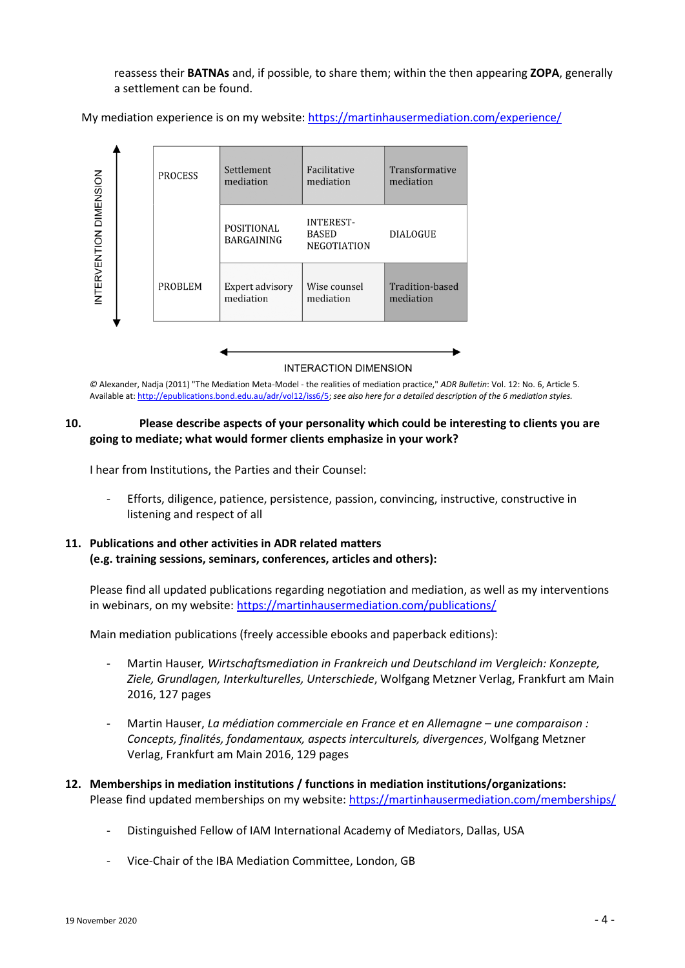reassess their **BATNAs** and, if possible, to share them; within the then appearing **ZOPA**, generally a settlement can be found.

My mediation experience is on my website: <https://martinhausermediation.com/experience/>



## **INTERACTION DIMENSION**

*©* Alexander, Nadja (2011) "The Mediation Meta-Model - the realities of mediation practice," *ADR Bulletin*: Vol. 12: No. 6, Article 5. Available at: [http://epublications.bond.edu.au/adr/vol12/iss6/5;](http://epublications.bond.edu.au/adr/vol12/iss6/5) *see also here for a detailed description of the 6 mediation styles.*

## **10. Please describe aspects of your personality which could be interesting to clients you are going to mediate; what would former clients emphasize in your work?**

I hear from Institutions, the Parties and their Counsel:

- Efforts, diligence, patience, persistence, passion, convincing, instructive, constructive in listening and respect of all

# **11. Publications and other activities in ADR related matters (e.g. training sessions, seminars, conferences, articles and others):**

Please find all updated publications regarding negotiation and mediation, as well as my interventions in webinars, on my website[: https://martinhausermediation.com/publications/](https://martinhausermediation.com/publications/)

Main mediation publications (freely accessible ebooks and paperback editions):

- Martin Hauser*, Wirtschaftsmediation in Frankreich und Deutschland im Vergleich: Konzepte, Ziele, Grundlagen, Interkulturelles, Unterschiede*, Wolfgang Metzner Verlag, Frankfurt am Main 2016, 127 pages
- Martin Hauser, *La médiation commerciale en France et en Allemagne – une comparaison : Concepts, finalités, fondamentaux, aspects interculturels, divergences*, Wolfgang Metzner Verlag, Frankfurt am Main 2016, 129 pages
- **12. Memberships in mediation institutions / functions in mediation institutions/organizations:** Please find updated memberships on my website: <https://martinhausermediation.com/memberships/>
	- Distinguished Fellow of IAM International Academy of Mediators, Dallas, USA
	- Vice-Chair of the IBA Mediation Committee, London, GB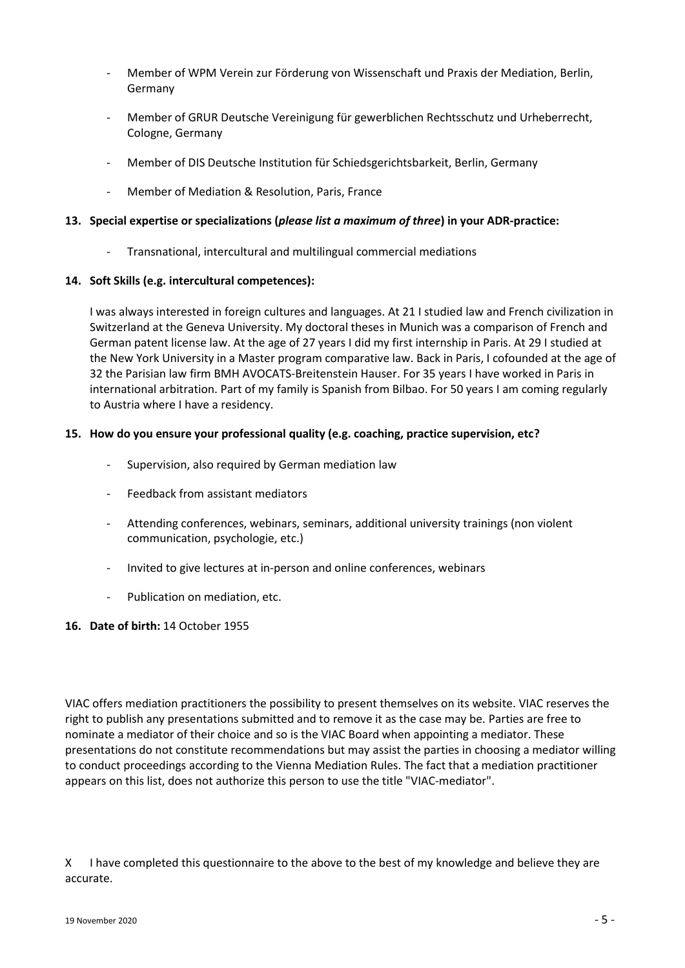- Member of WPM Verein zur Förderung von Wissenschaft und Praxis der Mediation, Berlin, Germany
- Member of GRUR Deutsche Vereinigung für gewerblichen Rechtsschutz und Urheberrecht, Cologne, Germany
- Member of DIS Deutsche Institution für Schiedsgerichtsbarkeit, Berlin, Germany
- Member of Mediation & Resolution, Paris, France

## **13. Special expertise or specializations (***please list a maximum of three***) in your ADR-practice:**

- Transnational, intercultural and multilingual commercial mediations

## **14. Soft Skills (e.g. intercultural competences):**

I was always interested in foreign cultures and languages. At 21 I studied law and French civilization in Switzerland at the Geneva University. My doctoral theses in Munich was a comparison of French and German patent license law. At the age of 27 years I did my first internship in Paris. At 29 I studied at the New York University in a Master program comparative law. Back in Paris, I cofounded at the age of 32 the Parisian law firm BMH AVOCATS-Breitenstein Hauser. For 35 years I have worked in Paris in international arbitration. Part of my family is Spanish from Bilbao. For 50 years I am coming regularly to Austria where I have a residency.

## **15. How do you ensure your professional quality (e.g. coaching, practice supervision, etc?**

- Supervision, also required by German mediation law
- Feedback from assistant mediators
- Attending conferences, webinars, seminars, additional university trainings (non violent communication, psychologie, etc.)
- Invited to give lectures at in-person and online conferences, webinars
- Publication on mediation, etc.

#### **16. Date of birth:** 14 October 1955

VIAC offers mediation practitioners the possibility to present themselves on its website. VIAC reserves the right to publish any presentations submitted and to remove it as the case may be. Parties are free to nominate a mediator of their choice and so is the VIAC Board when appointing a mediator. These presentations do not constitute recommendations but may assist the parties in choosing a mediator willing to conduct proceedings according to the Vienna Mediation Rules. The fact that a mediation practitioner appears on this list, does not authorize this person to use the title "VIAC-mediator".

X I have completed this questionnaire to the above to the best of my knowledge and believe they are accurate.